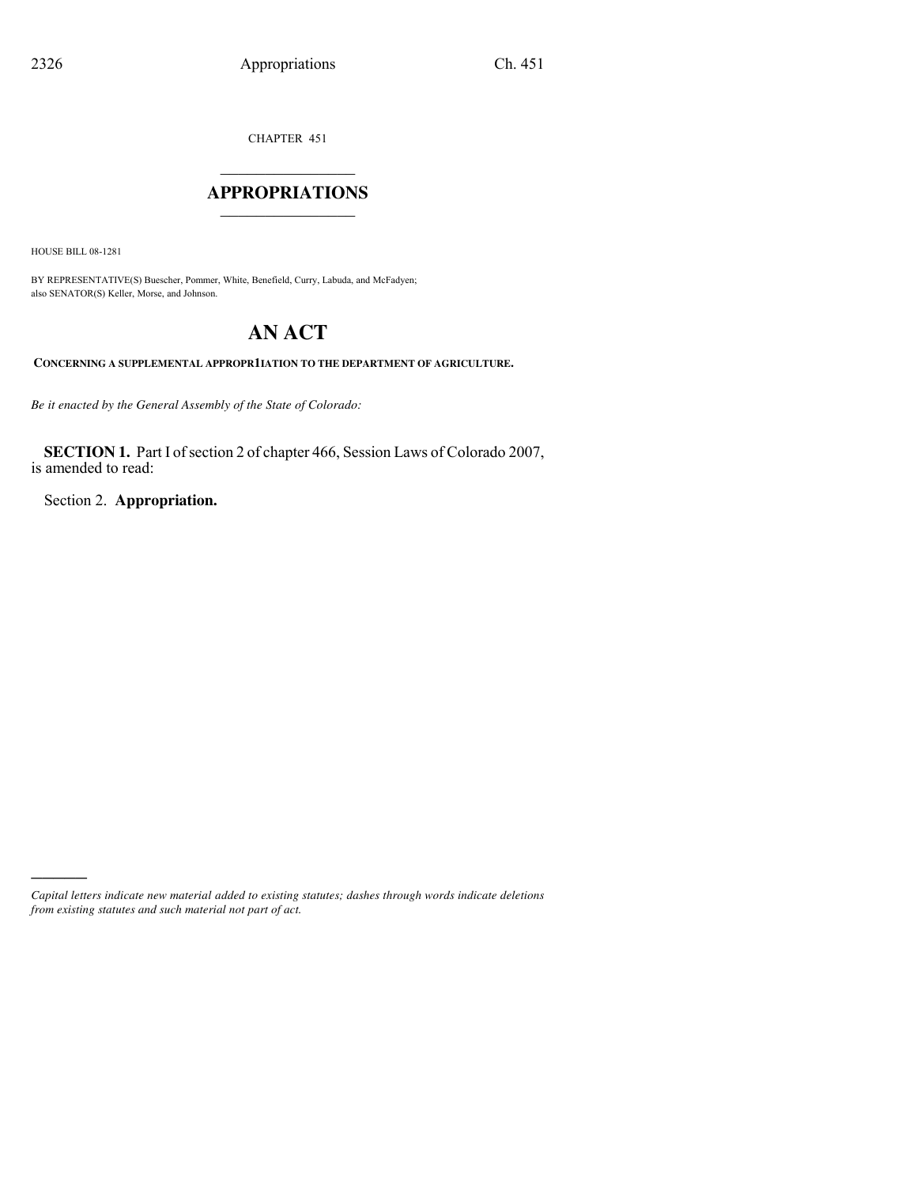CHAPTER 451

## $\mathcal{L}_\text{max}$  . The set of the set of the set of the set of the set of the set of the set of the set of the set of the set of the set of the set of the set of the set of the set of the set of the set of the set of the set **APPROPRIATIONS** \_\_\_\_\_\_\_\_\_\_\_\_\_\_\_

HOUSE BILL 08-1281

)))))

BY REPRESENTATIVE(S) Buescher, Pommer, White, Benefield, Curry, Labuda, and McFadyen; also SENATOR(S) Keller, Morse, and Johnson.

# **AN ACT**

**CONCERNING A SUPPLEMENTAL APPROPR1IATION TO THE DEPARTMENT OF AGRICULTURE.**

*Be it enacted by the General Assembly of the State of Colorado:*

**SECTION 1.** Part I of section 2 of chapter 466, Session Laws of Colorado 2007, is amended to read:

Section 2. **Appropriation.**

*Capital letters indicate new material added to existing statutes; dashes through words indicate deletions from existing statutes and such material not part of act.*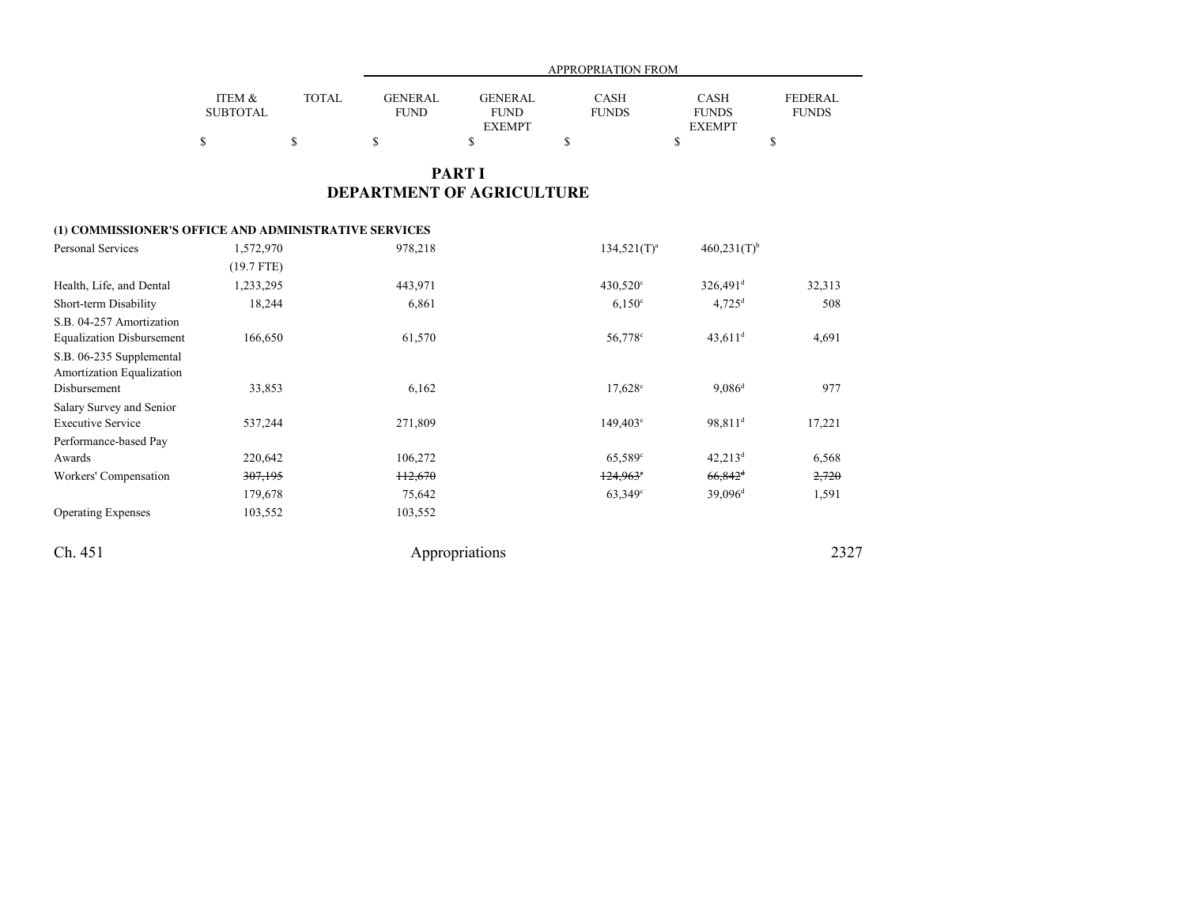|                 |        |             | APPROPRIATION FROM           |              |                               |                |  |  |
|-----------------|--------|-------------|------------------------------|--------------|-------------------------------|----------------|--|--|
| ITEM &          | TOTAL. | GENERAL     | <b>GENERAL</b>               | <b>CASH</b>  | <b>CASH</b>                   | <b>FEDERAL</b> |  |  |
| <b>SUBTOTAL</b> |        | <b>FUND</b> | <b>FUND</b><br><b>EXEMPT</b> | <b>FUNDS</b> | <b>FUNDS</b><br><b>EXEMPT</b> | <b>FUNDS</b>   |  |  |
|                 |        |             |                              |              |                               |                |  |  |

## **PART IDEPARTMENT OF AGRICULTURE**

## **(1) COMMISSIONER'S OFFICE AND ADMINISTRATIVE SERVICES**

| Personal Services                                            | 1,572,970    | 978,218            | $134,521(T)^a$      | $460,231(T)$ <sup>b</sup> |        |
|--------------------------------------------------------------|--------------|--------------------|---------------------|---------------------------|--------|
|                                                              | $(19.7$ FTE) |                    |                     |                           |        |
| Health, Life, and Dental                                     | 1,233,295    | 443,971            | $430,520^{\circ}$   | $326,491$ <sup>d</sup>    | 32,313 |
| Short-term Disability                                        | 18,244       | 6,861              | $6,150^{\circ}$     | $4,725$ <sup>d</sup>      | 508    |
| S.B. 04-257 Amortization<br><b>Equalization Disbursement</b> | 166,650      | 61,570             | 56,778 <sup>c</sup> | $43,611$ <sup>d</sup>     | 4,691  |
| S.B. 06-235 Supplemental<br>Amortization Equalization        |              |                    |                     |                           |        |
| Disbursement                                                 | 33,853       | 6,162              | $17,628^{\circ}$    | $9,086^d$                 | 977    |
| Salary Survey and Senior                                     |              |                    |                     |                           |        |
| <b>Executive Service</b>                                     | 537,244      | 271,809            | $149,403^{\circ}$   | 98,811 <sup>d</sup>       | 17,221 |
| Performance-based Pay                                        |              |                    |                     |                           |        |
| Awards                                                       | 220,642      | 106,272            | $65,589^{\circ}$    | $42,213^d$                | 6,568  |
| Workers' Compensation                                        | 307,195      | <del>112,670</del> | $124,963$ °         | $66,842$ <sup>d</sup>     | 2,720  |
|                                                              | 179,678      | 75,642             | $63.349^{\circ}$    | 39,096 <sup>d</sup>       | 1,591  |
| <b>Operating Expenses</b>                                    | 103,552      | 103,552            |                     |                           |        |
| Ch. 451                                                      |              | Appropriations     |                     |                           | 2327   |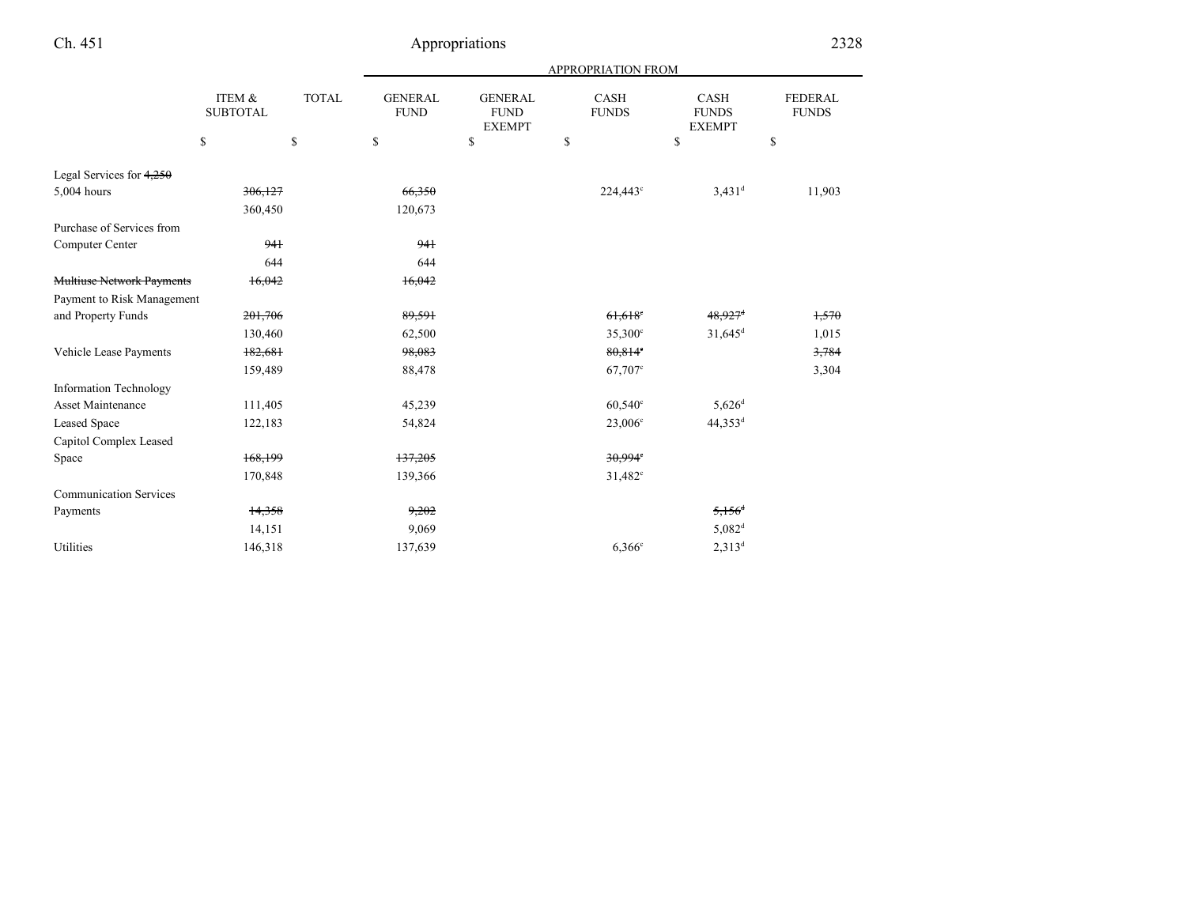|--|

|                                  |                           |              |                               |                                                | APPROPRIATION FROM          |                                                |                                |
|----------------------------------|---------------------------|--------------|-------------------------------|------------------------------------------------|-----------------------------|------------------------------------------------|--------------------------------|
|                                  | ITEM &<br><b>SUBTOTAL</b> | <b>TOTAL</b> | <b>GENERAL</b><br><b>FUND</b> | <b>GENERAL</b><br><b>FUND</b><br><b>EXEMPT</b> | <b>CASH</b><br><b>FUNDS</b> | $\mbox{CASH}$<br><b>FUNDS</b><br><b>EXEMPT</b> | <b>FEDERAL</b><br><b>FUNDS</b> |
|                                  | \$                        | \$           | \$                            | \$                                             | \$                          | $\mathbb{S}$                                   | \$                             |
| Legal Services for $4,250$       |                           |              |                               |                                                |                             |                                                |                                |
| 5,004 hours                      | 306,127                   |              | 66,350                        |                                                | 224,443 <sup>c</sup>        | $3,431$ <sup>d</sup>                           | 11,903                         |
|                                  | 360,450                   |              | 120,673                       |                                                |                             |                                                |                                |
| Purchase of Services from        |                           |              |                               |                                                |                             |                                                |                                |
| Computer Center                  | 941                       |              | 941                           |                                                |                             |                                                |                                |
|                                  | 644                       |              | 644                           |                                                |                             |                                                |                                |
| <b>Multiuse Network Payments</b> | 16,042                    |              | 16,042                        |                                                |                             |                                                |                                |
| Payment to Risk Management       |                           |              |                               |                                                |                             |                                                |                                |
| and Property Funds               | 201,706                   |              | 89,591                        |                                                | $61,618$ <sup>c</sup>       | $48,927$ <sup>d</sup>                          | 1,570                          |
|                                  | 130,460                   |              | 62,500                        |                                                | $35,300^{\circ}$            | $31,645^d$                                     | 1,015                          |
| Vehicle Lease Payments           | 182,681                   |              | 98,083                        |                                                | 80,814°                     |                                                | 3,784                          |
|                                  | 159,489                   |              | 88,478                        |                                                | 67,707 <sup>c</sup>         |                                                | 3,304                          |
| <b>Information Technology</b>    |                           |              |                               |                                                |                             |                                                |                                |
| Asset Maintenance                | 111,405                   |              | 45,239                        |                                                | $60,540^{\circ}$            | $5,626^{\rm d}$                                |                                |
| Leased Space                     | 122,183                   |              | 54,824                        |                                                | $23,006^{\circ}$            | 44,353 <sup>d</sup>                            |                                |
| Capitol Complex Leased           |                           |              |                               |                                                |                             |                                                |                                |
| Space                            | 168,199                   |              | 137,205                       |                                                | 30,994°                     |                                                |                                |
|                                  | 170,848                   |              | 139,366                       |                                                | $31,482^c$                  |                                                |                                |
| <b>Communication Services</b>    |                           |              |                               |                                                |                             |                                                |                                |
| Payments                         | 14,358                    |              | 9,202                         |                                                |                             | $5,156^{\circ}$                                |                                |
|                                  | 14,151                    |              | 9,069                         |                                                |                             | $5,082$ <sup>d</sup>                           |                                |
| <b>Utilities</b>                 | 146,318                   |              | 137,639                       |                                                | $6,366^\circ$               | $2,313^d$                                      |                                |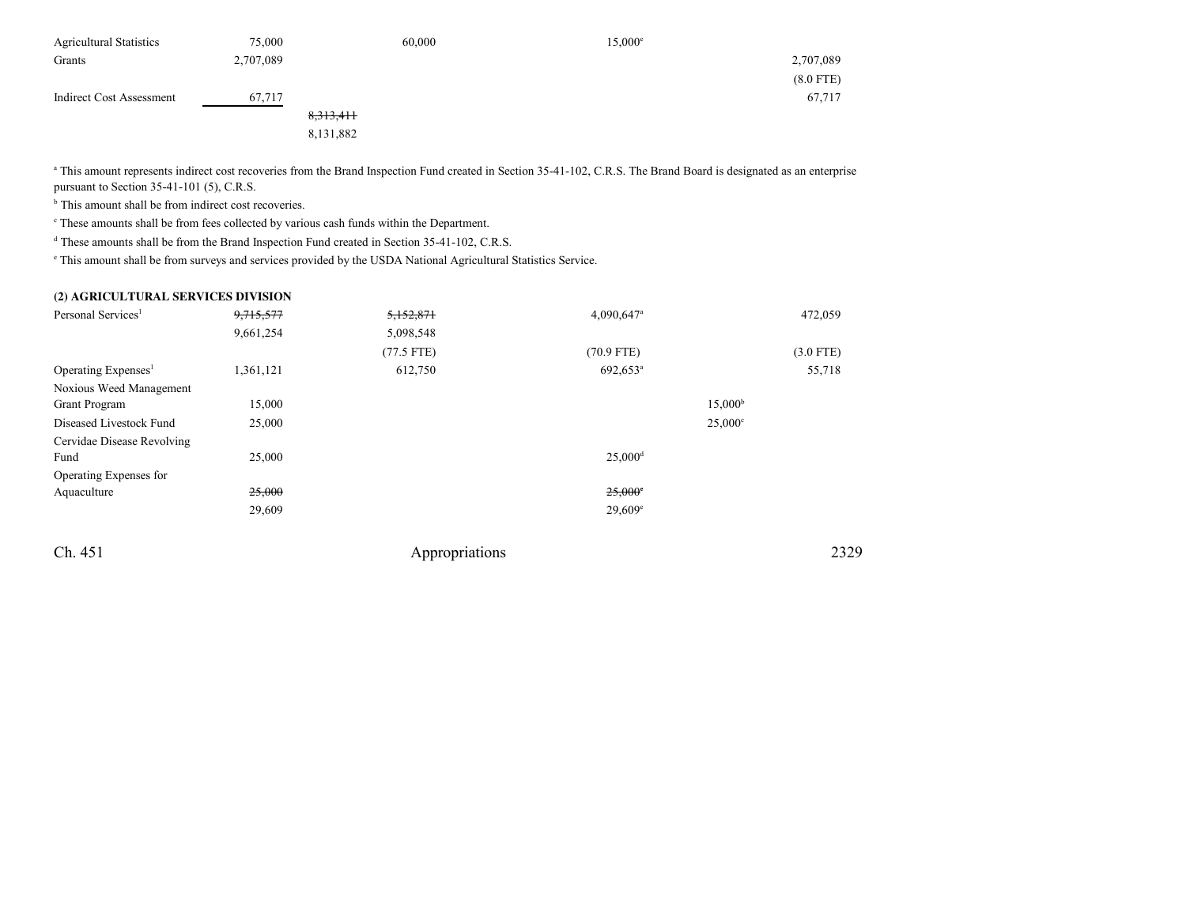| <b>Agricultural Statistics</b> | 75,000    | 60,000    | $15,000^e$ |             |
|--------------------------------|-----------|-----------|------------|-------------|
| Grants                         | 2,707,089 |           |            | 2,707,089   |
|                                |           |           |            | $(8.0$ FTE) |
| Indirect Cost Assessment       | 67,717    |           |            | 67,717      |
|                                |           | 8,313,411 |            |             |
|                                |           | 8,131,882 |            |             |

<sup>a</sup> This amount represents indirect cost recoveries from the Brand Inspection Fund created in Section 35-41-102, C.R.S. The Brand Board is designated as an enterprise pursuant to Section 35-41-101 (5), C.R.S.

<sup>b</sup> This amount shall be from indirect cost recoveries.

c These amounts shall be from fees collected by various cash funds within the Department.

<sup>d</sup> These amounts shall be from the Brand Inspection Fund created in Section 35-41-102, C.R.S.

e This amount shall be from surveys and services provided by the USDA National Agricultural Statistics Service.

## **(2) AGRICULTURAL SERVICES DIVISION**

| Personal Services <sup>1</sup>  | 9,715,577 | 5,152,871    | $4,090,647$ <sup>a</sup> | 472,059             |
|---------------------------------|-----------|--------------|--------------------------|---------------------|
|                                 | 9,661,254 | 5,098,548    |                          |                     |
|                                 |           | $(77.5$ FTE) | $(70.9$ FTE)             | $(3.0$ FTE)         |
| Operating Expenses <sup>1</sup> | 1,361,121 | 612,750      | 692,653 <sup>a</sup>     | 55,718              |
| Noxious Weed Management         |           |              |                          |                     |
| Grant Program                   | 15,000    |              |                          | 15,000 <sup>b</sup> |
| Diseased Livestock Fund         | 25,000    |              |                          | $25,000^{\circ}$    |
| Cervidae Disease Revolving      |           |              |                          |                     |
| Fund                            | 25,000    |              | $25,000$ <sup>d</sup>    |                     |
| Operating Expenses for          |           |              |                          |                     |
| Aquaculture                     | 25,000    |              | $25,000$ °               |                     |
|                                 | 29,609    |              | $29,609^{\circ}$         |                     |
|                                 |           |              |                          |                     |

Ch. 451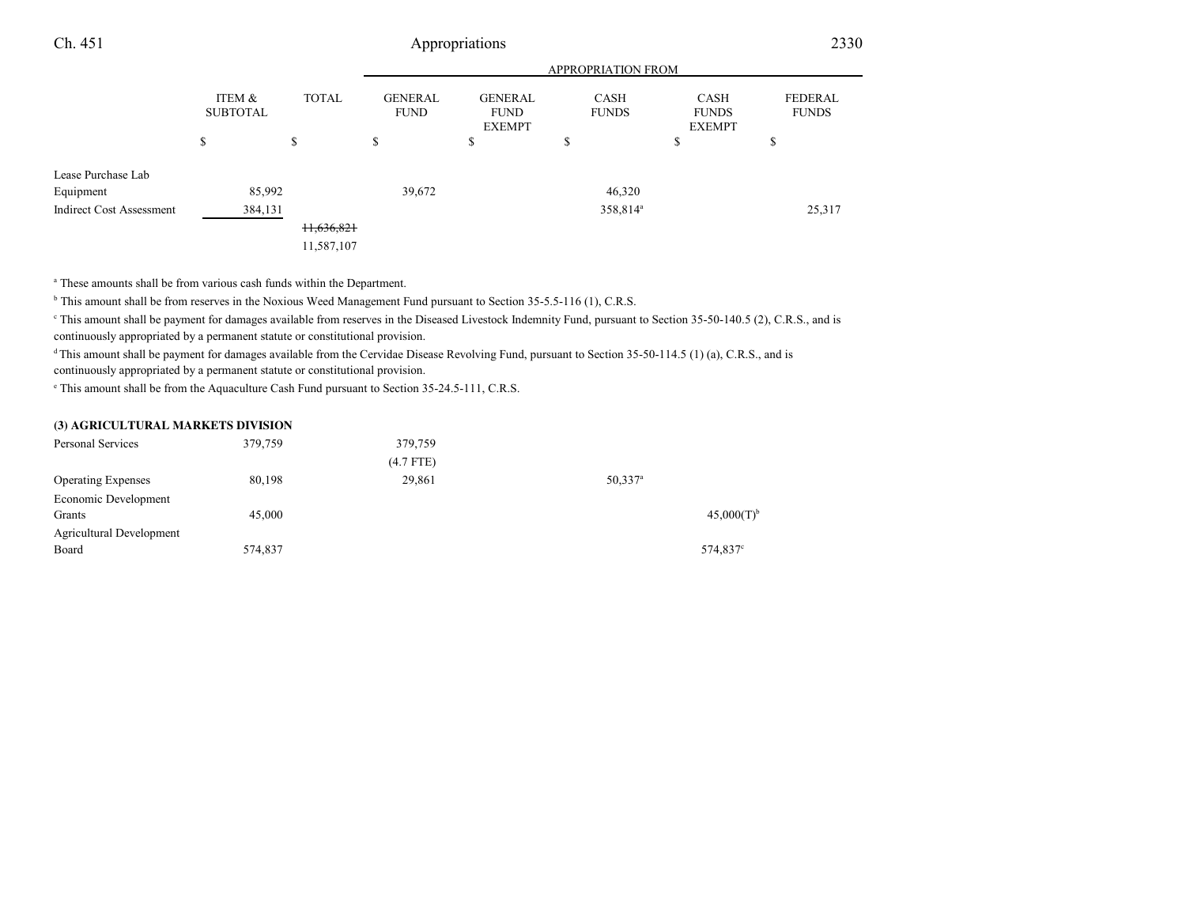## Appropriations <sup>2330</sup>

|                                 |                           |                                      | <b>APPROPRIATION FROM</b>     |                                                |                      |                                       |                                |  |
|---------------------------------|---------------------------|--------------------------------------|-------------------------------|------------------------------------------------|----------------------|---------------------------------------|--------------------------------|--|
|                                 | ITEM &<br><b>SUBTOTAL</b> | <b>TOTAL</b>                         | <b>GENERAL</b><br><b>FUND</b> | <b>GENERAL</b><br><b>FUND</b><br><b>EXEMPT</b> | CASH<br><b>FUNDS</b> | CASH<br><b>FUNDS</b><br><b>EXEMPT</b> | <b>FEDERAL</b><br><b>FUNDS</b> |  |
|                                 | J.                        | \$                                   | S                             | \$                                             | ¢<br>D               | ¢<br>D                                | \$                             |  |
| Lease Purchase Lab              |                           |                                      |                               |                                                |                      |                                       |                                |  |
| Equipment                       | 85,992                    |                                      | 39,672                        |                                                | 46,320               |                                       |                                |  |
| <b>Indirect Cost Assessment</b> | 384,131                   |                                      |                               |                                                | 358,814 <sup>a</sup> |                                       | 25,317                         |  |
|                                 |                           | H <sub>5</sub> 636,82+<br>11,587,107 |                               |                                                |                      |                                       |                                |  |

a These amounts shall be from various cash funds within the Department.

<sup>b</sup> This amount shall be from reserves in the Noxious Weed Management Fund pursuant to Section 35-5.5-116 (1), C.R.S.

<sup>e</sup> This amount shall be payment for damages available from reserves in the Diseased Livestock Indemnity Fund, pursuant to Section 35-50-140.5 (2), C.R.S., and is continuously appropriated by a permanent statute or constitutional provision.

<sup>d</sup>This amount shall be payment for damages available from the Cervidae Disease Revolving Fund, pursuant to Section 35-50-114.5 (1) (a), C.R.S., and is

continuously appropriated by a permanent statute or constitutional provision.

e This amount shall be from the Aquaculture Cash Fund pursuant to Section 35-24.5-111, C.R.S.

#### **(3) AGRICULTURAL MARKETS DIVISION**

| 379,759 | 379,759     |                     |                          |
|---------|-------------|---------------------|--------------------------|
|         | $(4.7$ FTE) |                     |                          |
| 80,198  | 29,861      | 50,337 <sup>a</sup> |                          |
|         |             |                     |                          |
| 45,000  |             |                     | $45,000(T)$ <sup>b</sup> |
|         |             |                     |                          |
| 574,837 |             |                     | 574,837 <sup>c</sup>     |
|         |             |                     |                          |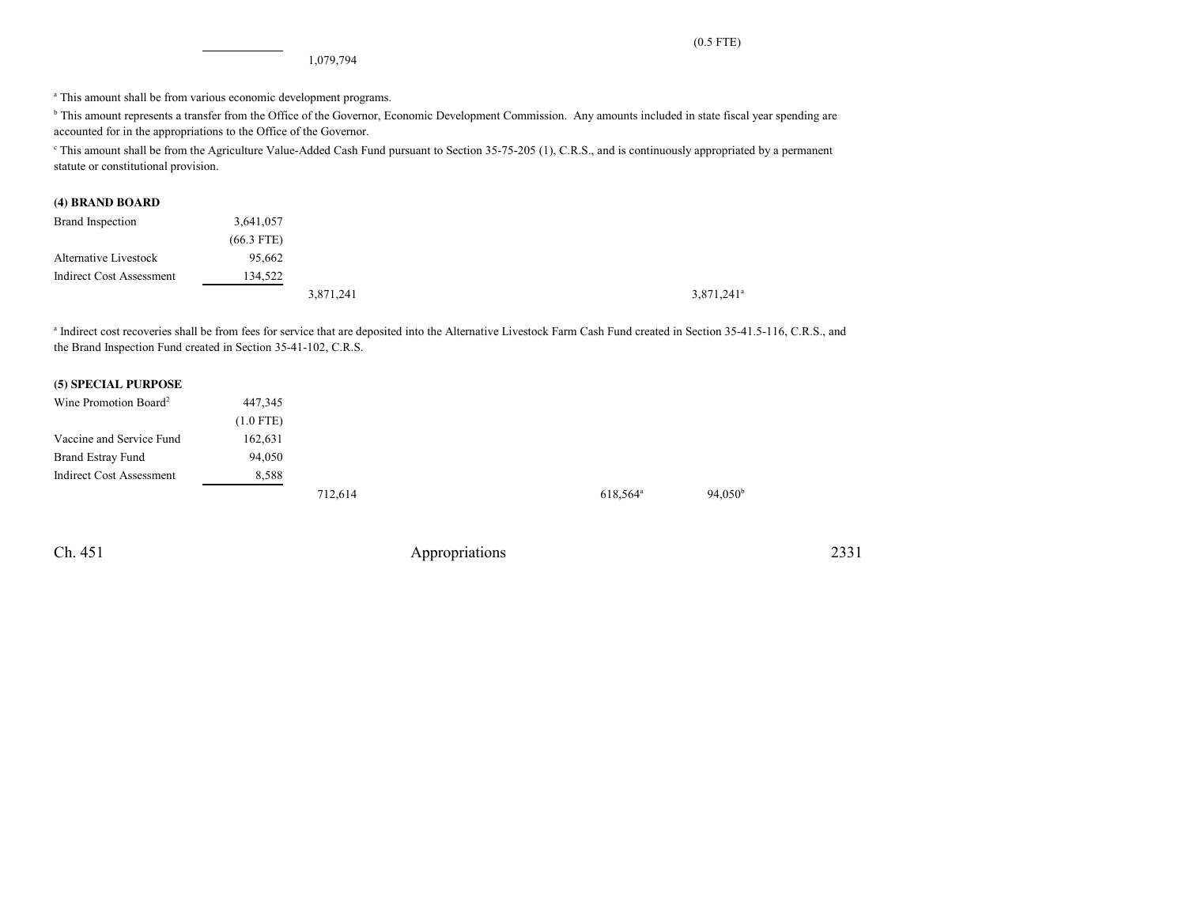1,079,794

<sup>a</sup> This amount shall be from various economic development programs.

<sup>b</sup> This amount represents a transfer from the Office of the Governor, Economic Development Commission. Any amounts included in state fiscal year spending are accounted for in the appropriations to the Office of the Governor.

c This amount shall be from the Agriculture Value-Added Cash Fund pursuant to Section 35-75-205 (1), C.R.S., and is continuously appropriated by a permanentstatute or constitutional provision.

#### **(4) BRAND BOARD**

| Brand Inspection                | 3,641,057    |           |  |                          |
|---------------------------------|--------------|-----------|--|--------------------------|
|                                 | $(66.3$ FTE) |           |  |                          |
| Alternative Livestock           | 95,662       |           |  |                          |
| <b>Indirect Cost Assessment</b> | 134,522      |           |  |                          |
|                                 |              | 3,871,241 |  | $3,871,241$ <sup>a</sup> |

<sup>a</sup> Indirect cost recoveries shall be from fees for service that are deposited into the Alternative Livestock Farm Cash Fund created in Section 35-41.5-116, C.R.S., and the Brand Inspection Fund created in Section 35-41-102, C.R.S.

### **(5) SPECIAL PURPOSE**

| Wine Promotion Board <sup>2</sup> | 447,345     |         |                      |                     |
|-----------------------------------|-------------|---------|----------------------|---------------------|
|                                   | $(1.0$ FTE) |         |                      |                     |
| Vaccine and Service Fund          | 162,631     |         |                      |                     |
| <b>Brand Estray Fund</b>          | 94,050      |         |                      |                     |
| Indirect Cost Assessment          | 8,588       |         |                      |                     |
|                                   |             | 712,614 | 618,564 <sup>a</sup> | 94.050 <sup>b</sup> |

Ch. 451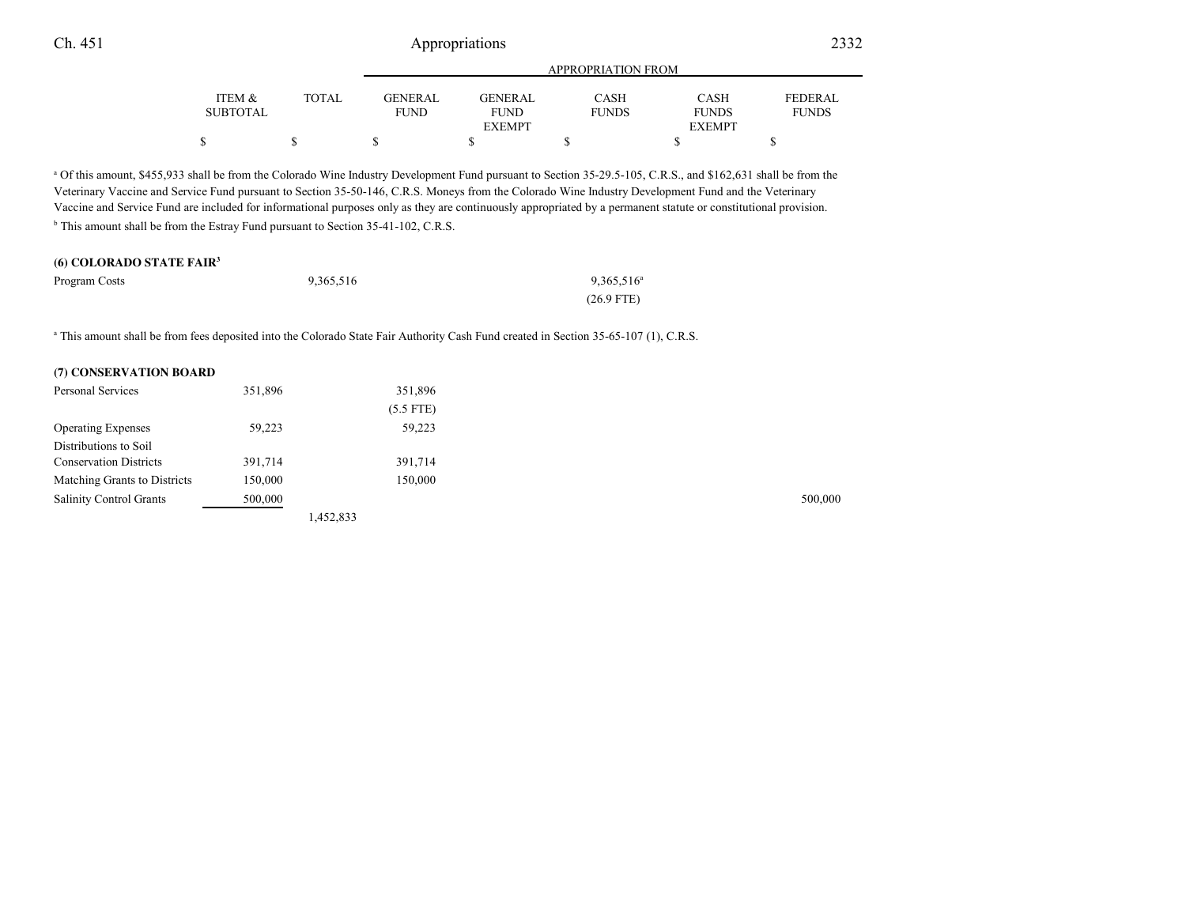|          |       | APPROPRIATION FROM |                |              |               |                |
|----------|-------|--------------------|----------------|--------------|---------------|----------------|
| ITEM &   | TOTAL | GENERAL            | <b>GENERAL</b> | CASH         | <b>CASH</b>   | <b>FEDERAL</b> |
| SUBTOTAL |       | <b>FUND</b>        | <b>FUND</b>    | <b>FUNDS</b> | <b>FUNDS</b>  | <b>FUNDS</b>   |
|          |       |                    | <b>EXEMPT</b>  |              | <b>EXEMPT</b> |                |
|          |       |                    |                |              |               |                |

<sup>a</sup> Of this amount, \$455,933 shall be from the Colorado Wine Industry Development Fund pursuant to Section 35-29.5-105, C.R.S., and \$162,631 shall be from the Veterinary Vaccine and Service Fund pursuant to Section 35-50-146, C.R.S. Moneys from the Colorado Wine Industry Development Fund and the Veterinary Vaccine and Service Fund are included for informational purposes only as they are continuously appropriated by a permanent statute or constitutional provision. <sup>b</sup> This amount shall be from the Estray Fund pursuant to Section 35-41-102, C.R.S.

## **(6) COLORADO STATE FAIR<sup>3</sup>**

| Program Costs | 9,365,516 | 9,365,516 <sup>a</sup> |
|---------------|-----------|------------------------|
|               |           | $(26.9$ FTE)           |

<sup>a</sup> This amount shall be from fees deposited into the Colorado State Fair Authority Cash Fund created in Section 35-65-107 (1), C.R.S.

#### **(7) CONSERVATION BOARD**

| Personal Services              | 351,896 |           | 351,896     |  |         |
|--------------------------------|---------|-----------|-------------|--|---------|
|                                |         |           | $(5.5$ FTE) |  |         |
| <b>Operating Expenses</b>      | 59,223  |           | 59,223      |  |         |
| Distributions to Soil          |         |           |             |  |         |
| <b>Conservation Districts</b>  | 391,714 |           | 391,714     |  |         |
| Matching Grants to Districts   | 150,000 |           | 150,000     |  |         |
| <b>Salinity Control Grants</b> | 500,000 |           |             |  | 500,000 |
|                                |         | 1,452,833 |             |  |         |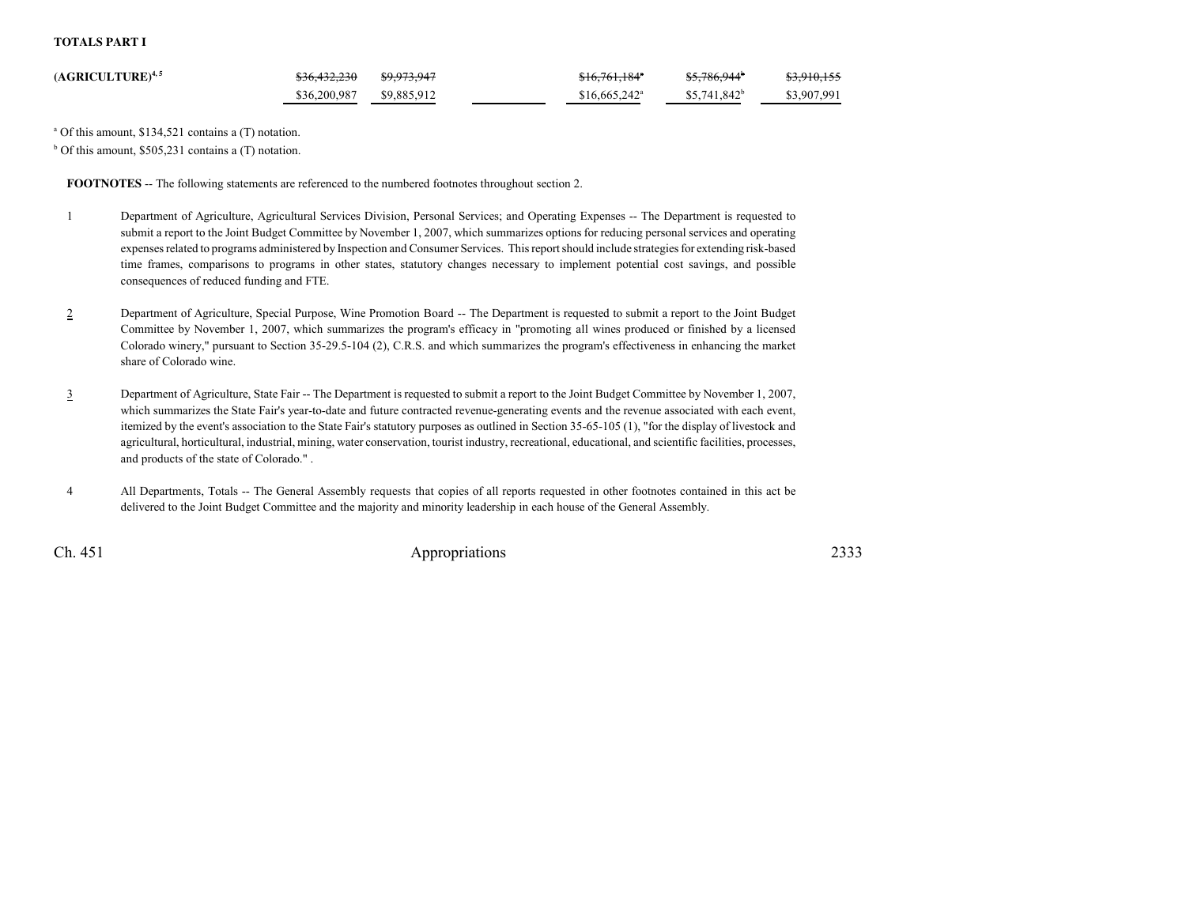#### **TOTALS PART I**

| $(AGRICULTURE)^{4,5}$ | <del>\$36,432,230</del> | <del>\$9.973.947</del> | <del>\$16,761,184</del> *  | <del>\$5,786,944</del> * | <del>\$3,910,155</del> |
|-----------------------|-------------------------|------------------------|----------------------------|--------------------------|------------------------|
|                       | \$36,200,987            | \$9,885,912            | $$16,665,242$ <sup>a</sup> | $$5,741,842^b$           | \$3,907,991            |

a Of this amount, \$134,521 contains a (T) notation.

 $b$  Of this amount, \$505,231 contains a (T) notation.

**FOOTNOTES** -- The following statements are referenced to the numbered footnotes throughout section 2.

- <sup>1</sup> Department of Agriculture, Agricultural Services Division, Personal Services; and Operating Expenses -- The Department is requested to submit a report to the Joint Budget Committee by November 1, 2007, which summarizes options for reducing personal services and operating expenses related to programs administered by Inspection and Consumer Services. This report should include strategies for extending risk-based time frames, comparisons to programs in other states, statutory changes necessary to implement potential cost savings, and possibleconsequences of reduced funding and FTE.
- 2 Department of Agriculture, Special Purpose, Wine Promotion Board -- The Department is requested to submit a report to the Joint Budget Committee by November 1, 2007, which summarizes the program's efficacy in "promoting all wines produced or finished by a licensed Colorado winery," pursuant to Section 35-29.5-104 (2), C.R.S. and which summarizes the program's effectiveness in enhancing the marketshare of Colorado wine.
- 3 Department of Agriculture, State Fair -- The Department is requested to submit a report to the Joint Budget Committee by November 1, 2007, which summarizes the State Fair's year-to-date and future contracted revenue-generating events and the revenue associated with each event,itemized by the event's association to the State Fair's statutory purposes as outlined in Section 35-65-105 (1), "for the display of livestock and agricultural, horticultural, industrial, mining, water conservation, tourist industry, recreational, educational, and scientific facilities, processes,and products of the state of Colorado." .
- <sup>4</sup> All Departments, Totals -- The General Assembly requests that copies of all reports requested in other footnotes contained in this act be delivered to the Joint Budget Committee and the majority and minority leadership in each house of the General Assembly.

Ch. 451